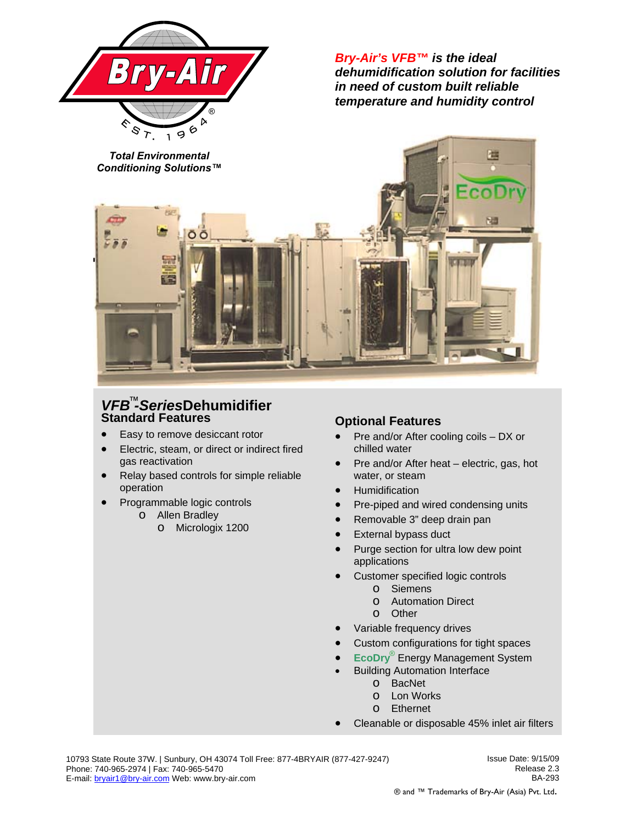

*Bry-Air's VFB™ is the ideal dehumidification solution for facilities in need of custom built reliable temperature and humidity control* 



## *VFB -Series***Dehumidifier**  ™ **Standard Features**

- Easy to remove desiccant rotor
- Electric, steam, or direct or indirect fired gas reactivation
- Relay based controls for simple reliable operation
- Programmable logic controls
	- o Allen Bradley
		- o Micrologix 1200

## **Optional Features**

- Pre and/or After cooling coils DX or chilled water
- Pre and/or After heat electric, gas, hot water, or steam
- Humidification
- Pre-piped and wired condensing units
- Removable 3" deep drain pan
- External bypass duct
- Purge section for ultra low dew point applications
- Customer specified logic controls
	- o Siemens
	- o Automation Direct
	- o Other
- Variable frequency drives
- Custom configurations for tight spaces
- **EcoDry**<sup>®</sup> Energy Management System
- **Building Automation Interface** 
	- o BacNet
	- o Lon Works
	- o Ethernet
- Cleanable or disposable 45% inlet air filters

Issue Date: 9/15/09 Release 2.3 BA-293